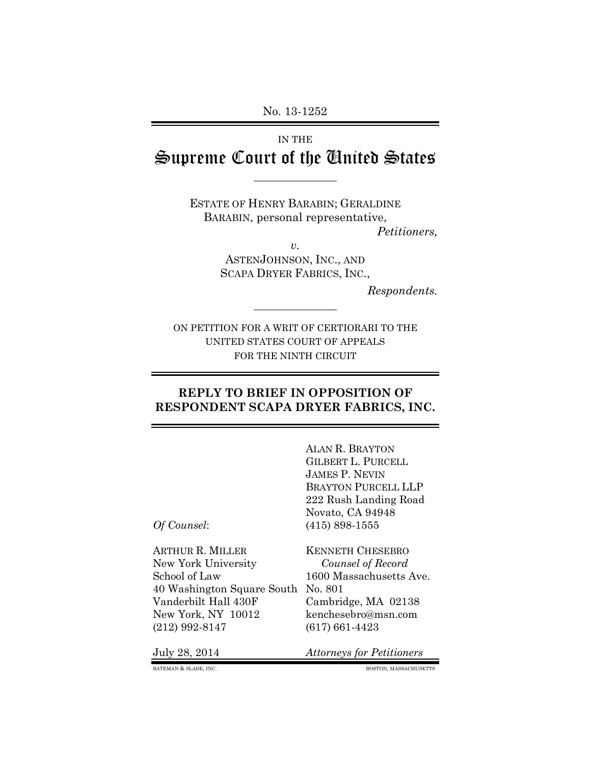No. 13-1252

# IN THE Supreme Court of the United States

ESTATE OF HENRY BARABIN; GERALDINE BARABIN, personal representative,

*Petitioners,*

*v.*

ASTENJOHNSON, INC., AND SCAPA DRYER FABRICS, INC.,

*Respondents.*

ON PETITION FOR A WRIT OF CERTIORARI TO THE UNITED STATES COURT OF APPEALS FOR THE NINTH CIRCUIT

#### **REPLY TO BRIEF IN OPPOSITION OF RESPONDENT SCAPA DRYER FABRICS, INC.**

ALAN R. BRAYTON GILBERT L. PURCELL JAMES P. NEVIN BRAYTON PURCELL LLP 222 Rush Landing Road Novato, CA 94948 *Of Counsel*: (415) 898-1555

ARTHUR R. MILLER KENNETH CHESEBRO New York University *Counsel of Record* School of Law 1600 Massachusetts Ave. 40 Washington Square South No. 801 Vanderbilt Hall 430F Cambridge, MA 02138 New York, NY 10012 kenchesebro@msn.com (212) 992-8147 (617) 661-4423

July 28, 2014 *Attorneys for Petitioners*

BATEMAN & SLADE, INC. BOSTON, MASSACHUSETTS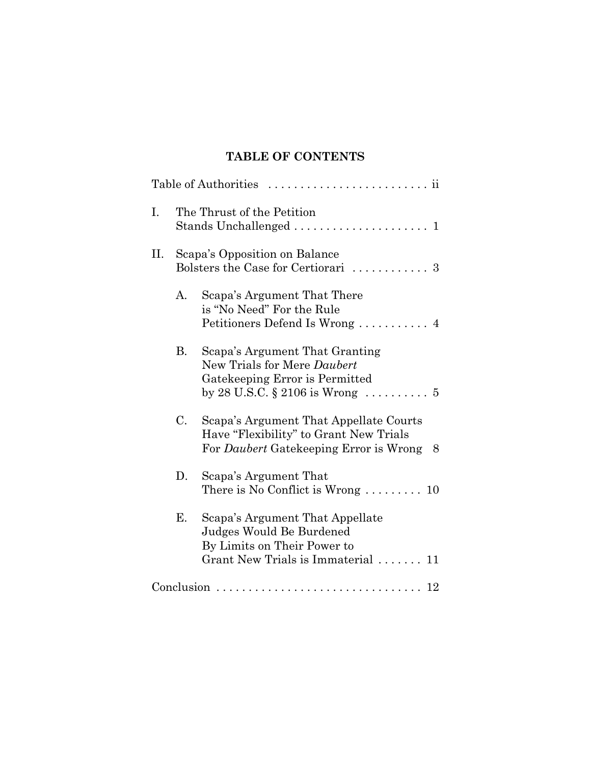# **TABLE OF CONTENTS**

| Ι. | The Thrust of the Petition<br>Stands Unchallenged<br>$\mathbf{1}$    |                                                                                                                                  |  |  |  |  |  |  |  |
|----|----------------------------------------------------------------------|----------------------------------------------------------------------------------------------------------------------------------|--|--|--|--|--|--|--|
| П. | Scapa's Opposition on Balance<br>Bolsters the Case for Certiorari  3 |                                                                                                                                  |  |  |  |  |  |  |  |
|    | А.                                                                   | Scapa's Argument That There<br>is "No Need" For the Rule<br>Petitioners Defend Is Wrong  4                                       |  |  |  |  |  |  |  |
|    | <b>B.</b>                                                            | Scapa's Argument That Granting<br>New Trials for Mere Daubert<br>Gatekeeping Error is Permitted                                  |  |  |  |  |  |  |  |
|    | C.                                                                   | Scapa's Argument That Appellate Courts<br>Have "Flexibility" to Grant New Trials<br>For Daubert Gatekeeping Error is Wrong<br>8  |  |  |  |  |  |  |  |
|    | D.                                                                   | Scapa's Argument That<br>There is No Conflict is Wrong $\dots \dots \dots 10$                                                    |  |  |  |  |  |  |  |
|    | E.                                                                   | Scapa's Argument That Appellate<br>Judges Would Be Burdened<br>By Limits on Their Power to<br>Grant New Trials is Immaterial  11 |  |  |  |  |  |  |  |
|    |                                                                      |                                                                                                                                  |  |  |  |  |  |  |  |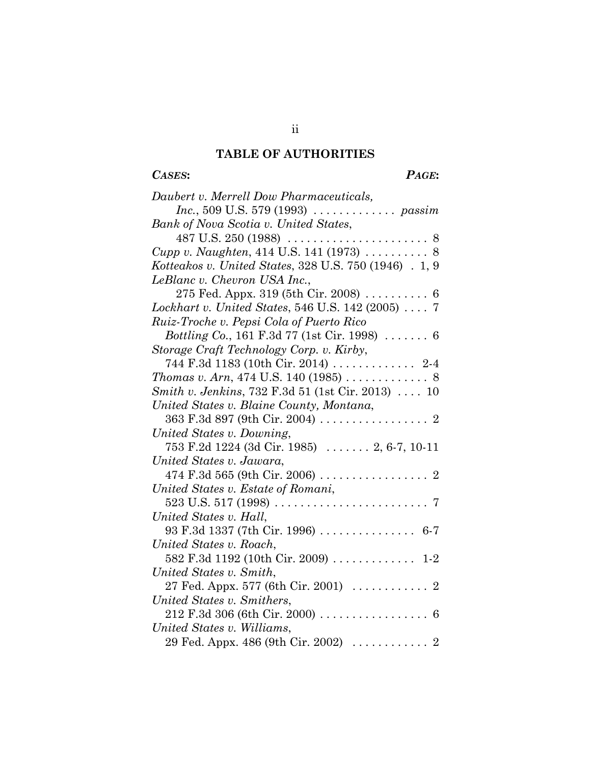# **TABLE OF AUTHORITIES**

# *CASES***:** *PAGE***:**

| Daubert v. Merrell Dow Pharmaceuticals,                                                                                |  |  |  |  |  |  |  |  |
|------------------------------------------------------------------------------------------------------------------------|--|--|--|--|--|--|--|--|
|                                                                                                                        |  |  |  |  |  |  |  |  |
| <i>Inc.</i> , 509 U.S. 579 (1993) $\ldots \ldots \ldots \ldots$ <i>passim</i><br>Bank of Nova Scotia v. United States, |  |  |  |  |  |  |  |  |
|                                                                                                                        |  |  |  |  |  |  |  |  |
| Cupp v. Naughten, 414 U.S. 141 (1973)  8                                                                               |  |  |  |  |  |  |  |  |
| Kotteakos v. United States, 328 U.S. 750 (1946) . 1, 9                                                                 |  |  |  |  |  |  |  |  |
| LeBlanc v. Chevron USA Inc.,                                                                                           |  |  |  |  |  |  |  |  |
|                                                                                                                        |  |  |  |  |  |  |  |  |
| 275 Fed. Appx. 319 (5th Cir. 2008)  6                                                                                  |  |  |  |  |  |  |  |  |
| Lockhart v. United States, 546 U.S. 142 (2005)  7                                                                      |  |  |  |  |  |  |  |  |
| Ruiz-Troche v. Pepsi Cola of Puerto Rico                                                                               |  |  |  |  |  |  |  |  |
| <i>Bottling Co.</i> , 161 F.3d 77 (1st Cir. 1998) $\ldots \ldots$ 6                                                    |  |  |  |  |  |  |  |  |
| Storage Craft Technology Corp. v. Kirby,                                                                               |  |  |  |  |  |  |  |  |
| 744 F.3d 1183 (10th Cir. 2014)  2-4                                                                                    |  |  |  |  |  |  |  |  |
| <i>Thomas v. Arn,</i> 474 U.S. 140 (1985) $\ldots \ldots \ldots \ldots 8$                                              |  |  |  |  |  |  |  |  |
| <i>Smith v. Jenkins</i> , 732 F.3d 51 (1st Cir. 2013)  10                                                              |  |  |  |  |  |  |  |  |
| United States v. Blaine County, Montana,                                                                               |  |  |  |  |  |  |  |  |
|                                                                                                                        |  |  |  |  |  |  |  |  |
| United States v. Downing,                                                                                              |  |  |  |  |  |  |  |  |
| 753 F.2d 1224 (3d Cir. 1985)  2, 6-7, 10-11                                                                            |  |  |  |  |  |  |  |  |
| United States v. Jawara,                                                                                               |  |  |  |  |  |  |  |  |
|                                                                                                                        |  |  |  |  |  |  |  |  |
| United States v. Estate of Romani,                                                                                     |  |  |  |  |  |  |  |  |
| $523$ U.S. $517$ (1998)<br>$\overline{7}$                                                                              |  |  |  |  |  |  |  |  |
| United States v. Hall,                                                                                                 |  |  |  |  |  |  |  |  |
| 93 F.3d 1337 (7th Cir. 1996)  6-7                                                                                      |  |  |  |  |  |  |  |  |
| United States v. Roach,                                                                                                |  |  |  |  |  |  |  |  |
| 582 F.3d 1192 (10th Cir. 2009)  1-2                                                                                    |  |  |  |  |  |  |  |  |
| United States v. Smith,                                                                                                |  |  |  |  |  |  |  |  |
| 27 Fed. Appx. 577 (6th Cir. 2001)  2                                                                                   |  |  |  |  |  |  |  |  |
| United States v. Smithers,                                                                                             |  |  |  |  |  |  |  |  |
|                                                                                                                        |  |  |  |  |  |  |  |  |
| United States v. Williams,                                                                                             |  |  |  |  |  |  |  |  |
|                                                                                                                        |  |  |  |  |  |  |  |  |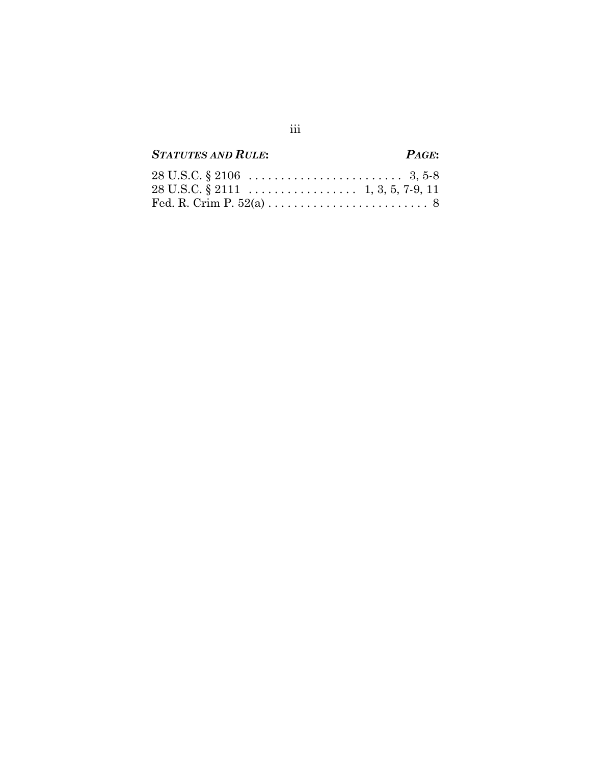# *STATUTES AND RULE***:** *PAGE***:**

| $28 \text{ U.S.C.} \$ $2106 \ldots \ldots \ldots \ldots \ldots \ldots \ldots \quad 3, 5-8$ |  |  |  |  |  |
|--------------------------------------------------------------------------------------------|--|--|--|--|--|
|                                                                                            |  |  |  |  |  |
|                                                                                            |  |  |  |  |  |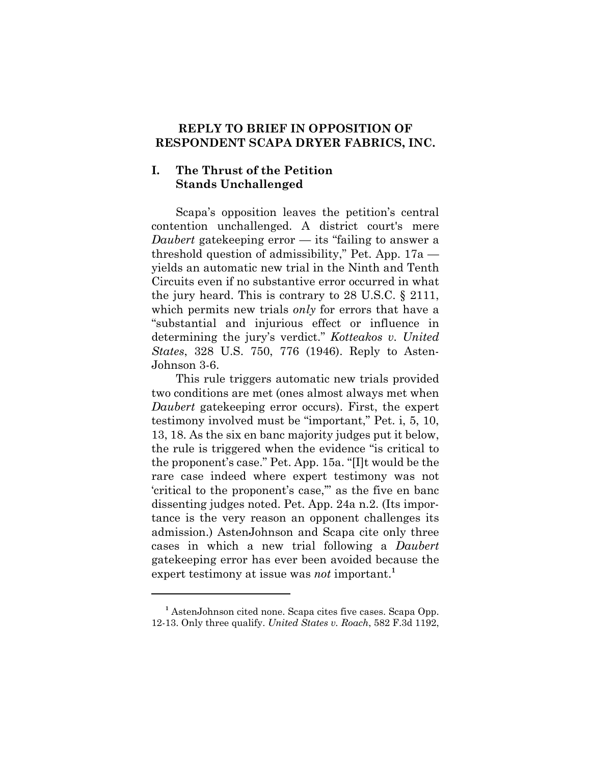#### **REPLY TO BRIEF IN OPPOSITION OF RESPONDENT SCAPA DRYER FABRICS, INC.**

#### **I. The Thrust of the Petition Stands Unchallenged**

Scapa's opposition leaves the petition's central contention unchallenged. A district court's mere *Daubert* gatekeeping error — its "failing to answer a threshold question of admissibility," Pet. App. 17a yields an automatic new trial in the Ninth and Tenth Circuits even if no substantive error occurred in what the jury heard. This is contrary to 28 U.S.C. § 2111, which permits new trials *only* for errors that have a "substantial and injurious effect or influence in determining the jury's verdict." *Kotteakos v. United States*, 328 U.S. 750, 776 (1946). Reply to Asten-Johnson 3-6.

This rule triggers automatic new trials provided two conditions are met (ones almost always met when *Daubert* gatekeeping error occurs). First, the expert testimony involved must be "important," Pet. i, 5, 10, 13, 18. As the six en banc majority judges put it below, the rule is triggered when the evidence "is critical to the proponent's case." Pet. App. 15a. "[I]t would be the rare case indeed where expert testimony was not 'critical to the proponent's case,'" as the five en banc dissenting judges noted. Pet. App. 24a n.2. (Its importance is the very reason an opponent challenges its admission.) AstenJohnson and Scapa cite only three cases in which a new trial following a *Daubert* gatekeeping error has ever been avoided because the expert testimony at issue was *not* important.**<sup>1</sup>**

<sup>&</sup>lt;sup>1</sup> AstenJohnson cited none. Scapa cites five cases. Scapa Opp. 12-13. Only three qualify. *United States v. Roach*, 582 F.3d 1192,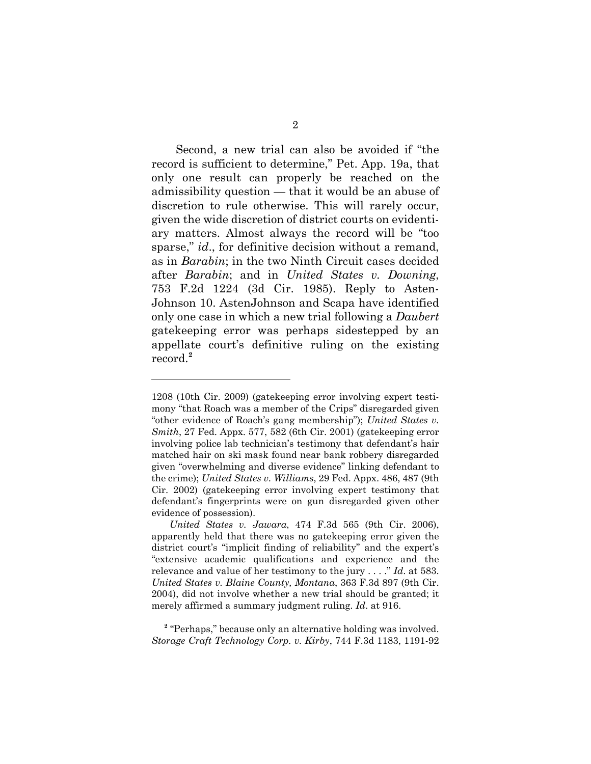Second, a new trial can also be avoided if "the record is sufficient to determine," Pet. App. 19a, that only one result can properly be reached on the admissibility question — that it would be an abuse of discretion to rule otherwise. This will rarely occur, given the wide discretion of district courts on evidentiary matters. Almost always the record will be "too sparse," *id*., for definitive decision without a remand, as in *Barabin*; in the two Ninth Circuit cases decided after *Barabin*; and in *United States v. Downing*, 753 F.2d 1224 (3d Cir. 1985). Reply to Asten-Johnson 10. AstenJohnson and Scapa have identified only one case in which a new trial following a *Daubert* gatekeeping error was perhaps sidestepped by an appellate court's definitive ruling on the existing record.**<sup>2</sup>**

<sup>1208 (10</sup>th Cir. 2009) (gatekeeping error involving expert testimony "that Roach was a member of the Crips" disregarded given "other evidence of Roach's gang membership"); *United States v. Smith*, 27 Fed. Appx. 577, 582 (6th Cir. 2001) (gatekeeping error involving police lab technician's testimony that defendant's hair matched hair on ski mask found near bank robbery disregarded given "overwhelming and diverse evidence" linking defendant to the crime); *United States v. Williams*, 29 Fed. Appx. 486, 487 (9th Cir. 2002) (gatekeeping error involving expert testimony that defendant's fingerprints were on gun disregarded given other evidence of possession).

*United States v. Jawara*, 474 F.3d 565 (9th Cir. 2006), apparently held that there was no gatekeeping error given the district court's "implicit finding of reliability" and the expert's "extensive academic qualifications and experience and the relevance and value of her testimony to the jury . . . ." *Id*. at 583. *United States v. Blaine County, Montana*, 363 F.3d 897 (9th Cir. 2004), did not involve whether a new trial should be granted; it merely affirmed a summary judgment ruling. *Id*. at 916.

<sup>&</sup>lt;sup>2</sup> "Perhaps," because only an alternative holding was involved. *Storage Craft Technology Corp. v. Kirby*, 744 F.3d 1183, 1191-92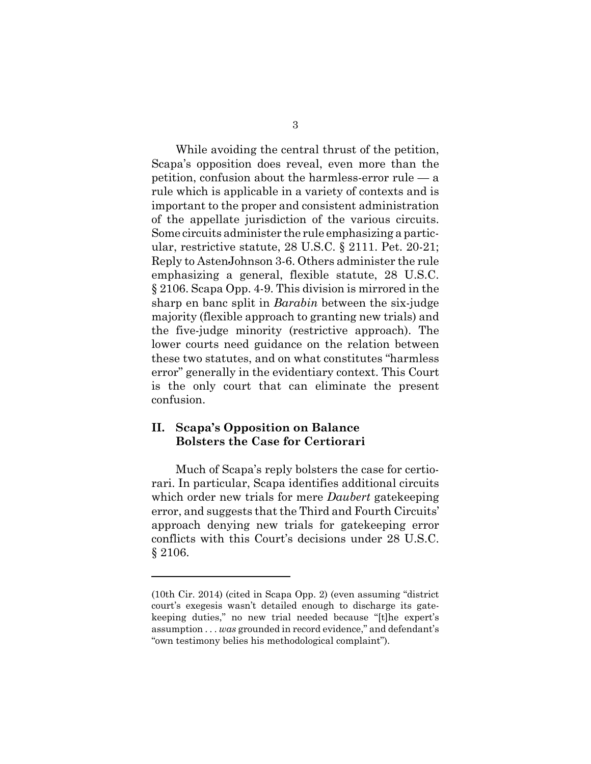While avoiding the central thrust of the petition, Scapa's opposition does reveal, even more than the petition, confusion about the harmless-error rule — a rule which is applicable in a variety of contexts and is important to the proper and consistent administration of the appellate jurisdiction of the various circuits. Some circuits administer the rule emphasizing a particular, restrictive statute, 28 U.S.C. § 2111. Pet. 20-21; Reply to AstenJohnson 3-6. Others administer the rule emphasizing a general, flexible statute, 28 U.S.C. § 2106. Scapa Opp. 4-9. This division is mirrored in the sharp en banc split in *Barabin* between the six-judge majority (flexible approach to granting new trials) and the five-judge minority (restrictive approach). The lower courts need guidance on the relation between these two statutes, and on what constitutes "harmless error" generally in the evidentiary context. This Court is the only court that can eliminate the present confusion.

#### **II. Scapa's Opposition on Balance Bolsters the Case for Certiorari**

Much of Scapa's reply bolsters the case for certiorari. In particular, Scapa identifies additional circuits which order new trials for mere *Daubert* gatekeeping error, and suggests that the Third and Fourth Circuits' approach denying new trials for gatekeeping error conflicts with this Court's decisions under 28 U.S.C. § 2106.

<sup>(10</sup>th Cir. 2014) (cited in Scapa Opp. 2) (even assuming "district court's exegesis wasn't detailed enough to discharge its gatekeeping duties," no new trial needed because "[t]he expert's assumption . . . *was* grounded in record evidence," and defendant's "own testimony belies his methodological complaint").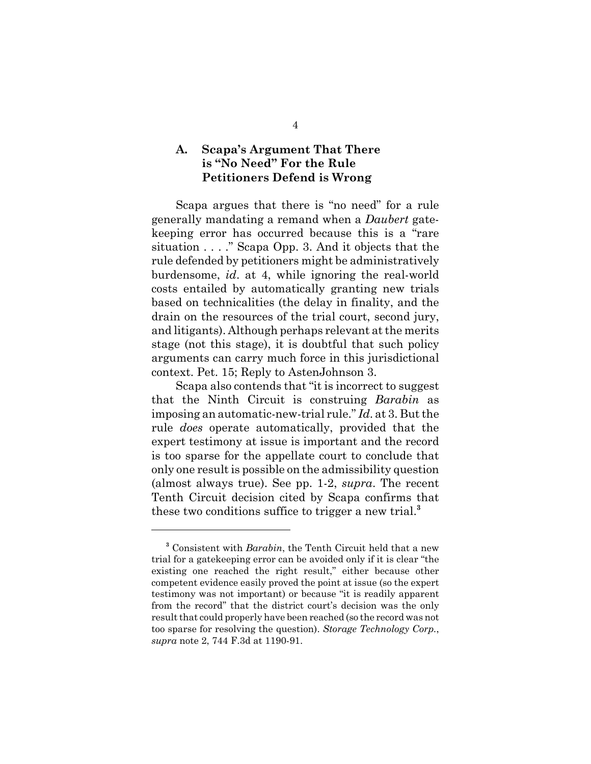### **A. Scapa's Argument That There is "No Need" For the Rule Petitioners Defend is Wrong**

Scapa argues that there is "no need" for a rule generally mandating a remand when a *Daubert* gatekeeping error has occurred because this is a "rare situation . . . ." Scapa Opp. 3. And it objects that the rule defended by petitioners might be administratively burdensome, *id*. at 4, while ignoring the real-world costs entailed by automatically granting new trials based on technicalities (the delay in finality, and the drain on the resources of the trial court, second jury, and litigants). Although perhaps relevant at the merits stage (not this stage), it is doubtful that such policy arguments can carry much force in this jurisdictional context. Pet. 15; Reply to AstenJohnson 3.

Scapa also contends that "it is incorrect to suggest that the Ninth Circuit is construing *Barabin* as imposing an automatic-new-trial rule." *Id*. at 3. But the rule *does* operate automatically, provided that the expert testimony at issue is important and the record is too sparse for the appellate court to conclude that only one result is possible on the admissibility question (almost always true). See pp. 1-2, *supra*. The recent Tenth Circuit decision cited by Scapa confirms that these two conditions suffice to trigger a new trial.**<sup>3</sup>**

<sup>&</sup>lt;sup>3</sup> Consistent with *Barabin*, the Tenth Circuit held that a new trial for a gatekeeping error can be avoided only if it is clear "the existing one reached the right result," either because other competent evidence easily proved the point at issue (so the expert testimony was not important) or because "it is readily apparent from the record" that the district court's decision was the only result that could properly have been reached (so the record was not too sparse for resolving the question). *Storage Technology Corp.*, *supra* note 2, 744 F.3d at 1190-91.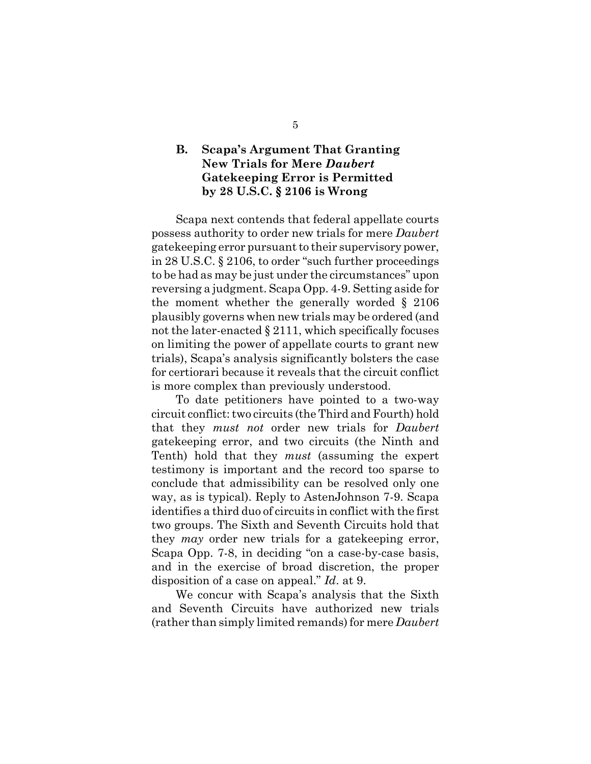### **B. Scapa's Argument That Granting New Trials for Mere** *Daubert* **Gatekeeping Error is Permitted by 28 U.S.C. § 2106 is Wrong**

Scapa next contends that federal appellate courts possess authority to order new trials for mere *Daubert* gatekeeping error pursuant to their supervisory power, in 28 U.S.C. § 2106, to order "such further proceedings to be had as may be just under the circumstances" upon reversing a judgment. Scapa Opp. 4-9. Setting aside for the moment whether the generally worded § 2106 plausibly governs when new trials may be ordered (and not the later-enacted § 2111, which specifically focuses on limiting the power of appellate courts to grant new trials), Scapa's analysis significantly bolsters the case for certiorari because it reveals that the circuit conflict is more complex than previously understood.

To date petitioners have pointed to a two-way circuit conflict: two circuits (the Third and Fourth) hold that they *must not* order new trials for *Daubert* gatekeeping error, and two circuits (the Ninth and Tenth) hold that they *must* (assuming the expert testimony is important and the record too sparse to conclude that admissibility can be resolved only one way, as is typical). Reply to AstenJohnson 7-9. Scapa identifies a third duo of circuits in conflict with the first two groups. The Sixth and Seventh Circuits hold that they *may* order new trials for a gatekeeping error, Scapa Opp. 7-8, in deciding "on a case-by-case basis, and in the exercise of broad discretion, the proper disposition of a case on appeal." *Id*. at 9.

We concur with Scapa's analysis that the Sixth and Seventh Circuits have authorized new trials (rather than simply limited remands) for mere *Daubert*

5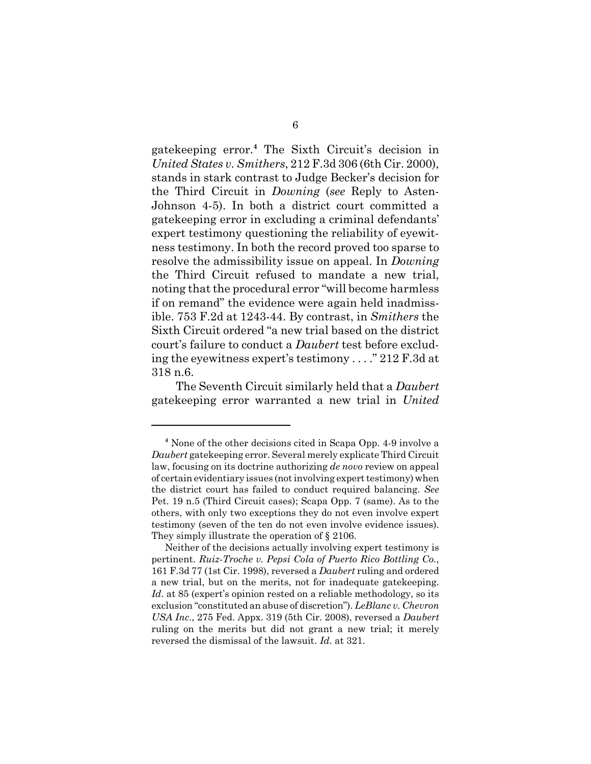gatekeeping error.**<sup>4</sup>** The Sixth Circuit's decision in *United States v. Smithers*, 212 F.3d 306 (6th Cir. 2000), stands in stark contrast to Judge Becker's decision for the Third Circuit in *Downing* (*see* Reply to Asten-Johnson 4-5). In both a district court committed a gatekeeping error in excluding a criminal defendants' expert testimony questioning the reliability of eyewitness testimony. In both the record proved too sparse to resolve the admissibility issue on appeal. In *Downing* the Third Circuit refused to mandate a new trial, noting that the procedural error "will become harmless if on remand" the evidence were again held inadmissible. 753 F.2d at 1243-44. By contrast, in *Smithers* the Sixth Circuit ordered "a new trial based on the district court's failure to conduct a *Daubert* test before excluding the eyewitness expert's testimony . . . ." 212 F.3d at 318 n.6.

The Seventh Circuit similarly held that a *Daubert* gatekeeping error warranted a new trial in *United*

**<sup>4</sup>** None of the other decisions cited in Scapa Opp. 4-9 involve a *Daubert* gatekeeping error. Several merely explicate Third Circuit law, focusing on its doctrine authorizing *de novo* review on appeal of certain evidentiary issues (not involving expert testimony) when the district court has failed to conduct required balancing. *See* Pet. 19 n.5 (Third Circuit cases); Scapa Opp. 7 (same). As to the others, with only two exceptions they do not even involve expert testimony (seven of the ten do not even involve evidence issues). They simply illustrate the operation of § 2106.

Neither of the decisions actually involving expert testimony is pertinent. *Ruiz-Troche v. Pepsi Cola of Puerto Rico Bottling Co.*, 161 F.3d 77 (1st Cir. 1998), reversed a *Daubert* ruling and ordered a new trial, but on the merits, not for inadequate gatekeeping. Id. at 85 (expert's opinion rested on a reliable methodology, so its exclusion "constituted an abuse of discretion"). *LeBlanc v. Chevron USA Inc.*, 275 Fed. Appx. 319 (5th Cir. 2008), reversed a *Daubert* ruling on the merits but did not grant a new trial; it merely reversed the dismissal of the lawsuit. *Id*. at 321.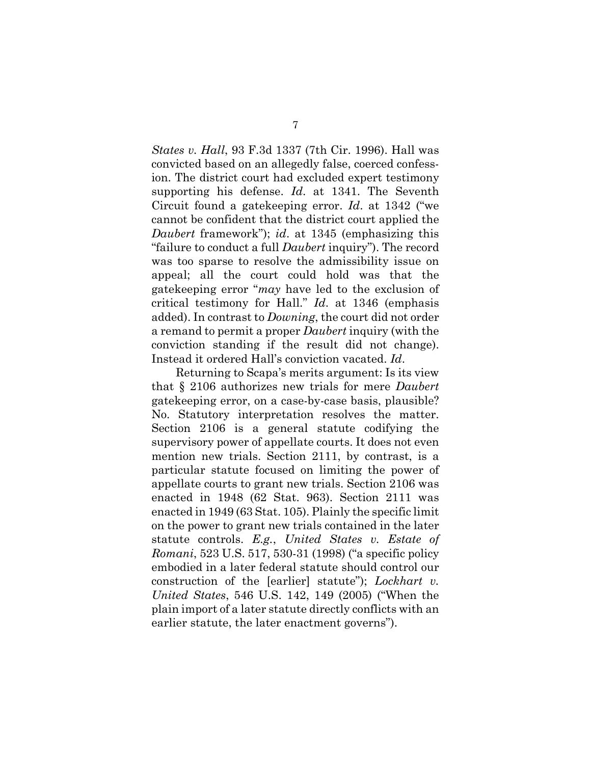*States v. Hall*, 93 F.3d 1337 (7th Cir. 1996). Hall was convicted based on an allegedly false, coerced confession. The district court had excluded expert testimony supporting his defense. *Id*. at 1341. The Seventh Circuit found a gatekeeping error. *Id*. at 1342 ("we cannot be confident that the district court applied the *Daubert* framework"); *id*. at 1345 (emphasizing this "failure to conduct a full *Daubert* inquiry"). The record was too sparse to resolve the admissibility issue on appeal; all the court could hold was that the gatekeeping error "*may* have led to the exclusion of critical testimony for Hall." *Id*. at 1346 (emphasis added). In contrast to *Downing*, the court did not order a remand to permit a proper *Daubert* inquiry (with the conviction standing if the result did not change). Instead it ordered Hall's conviction vacated. *Id*.

Returning to Scapa's merits argument: Is its view that § 2106 authorizes new trials for mere *Daubert* gatekeeping error, on a case-by-case basis, plausible? No. Statutory interpretation resolves the matter. Section 2106 is a general statute codifying the supervisory power of appellate courts. It does not even mention new trials. Section 2111, by contrast, is a particular statute focused on limiting the power of appellate courts to grant new trials. Section 2106 was enacted in 1948 (62 Stat. 963). Section 2111 was enacted in 1949 (63 Stat. 105). Plainly the specific limit on the power to grant new trials contained in the later statute controls. *E.g.*, *United States v. Estate of Romani*, 523 U.S. 517, 530-31 (1998) ("a specific policy embodied in a later federal statute should control our construction of the [earlier] statute"); *Lockhart v. United States*, 546 U.S. 142, 149 (2005) ("When the plain import of a later statute directly conflicts with an earlier statute, the later enactment governs").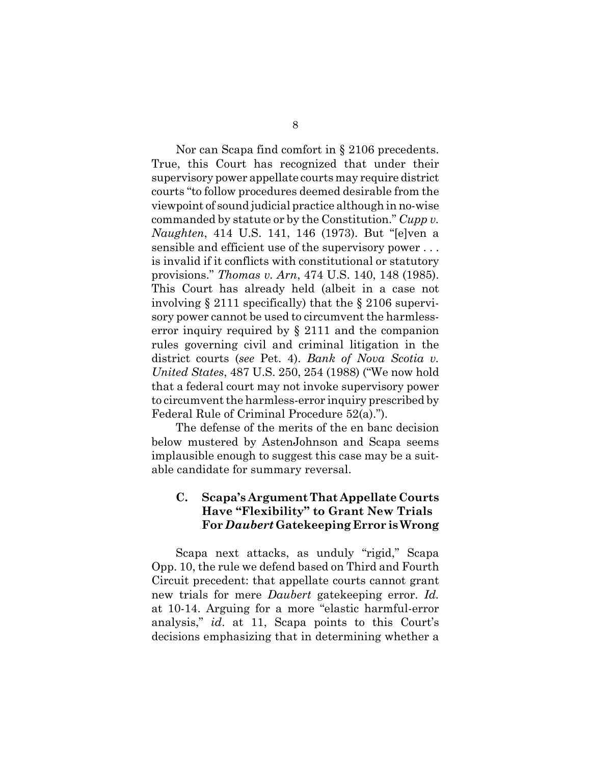Nor can Scapa find comfort in § 2106 precedents. True, this Court has recognized that under their supervisory power appellate courts may require district courts "to follow procedures deemed desirable from the viewpoint of sound judicial practice although in no-wise commanded by statute or by the Constitution." *Cupp v. Naughten*, 414 U.S. 141, 146 (1973). But "[e]ven a sensible and efficient use of the supervisory power . . . is invalid if it conflicts with constitutional or statutory provisions." *Thomas v. Arn*, 474 U.S. 140, 148 (1985). This Court has already held (albeit in a case not involving § 2111 specifically) that the § 2106 supervisory power cannot be used to circumvent the harmlesserror inquiry required by § 2111 and the companion rules governing civil and criminal litigation in the district courts (*see* Pet. 4). *Bank of Nova Scotia v. United States*, 487 U.S. 250, 254 (1988) ("We now hold that a federal court may not invoke supervisory power to circumvent the harmless-error inquiry prescribed by Federal Rule of Criminal Procedure 52(a).").

The defense of the merits of the en banc decision below mustered by AstenJohnson and Scapa seems implausible enough to suggest this case may be a suitable candidate for summary reversal.

### **C. Scapa's Argument That Appellate Courts Have "Flexibility" to Grant New Trials For** *Daubert* **Gatekeeping Error is Wrong**

Scapa next attacks, as unduly "rigid," Scapa Opp. 10, the rule we defend based on Third and Fourth Circuit precedent: that appellate courts cannot grant new trials for mere *Daubert* gatekeeping error. *Id.* at 10-14. Arguing for a more "elastic harmful-error analysis," *id*. at 11, Scapa points to this Court's decisions emphasizing that in determining whether a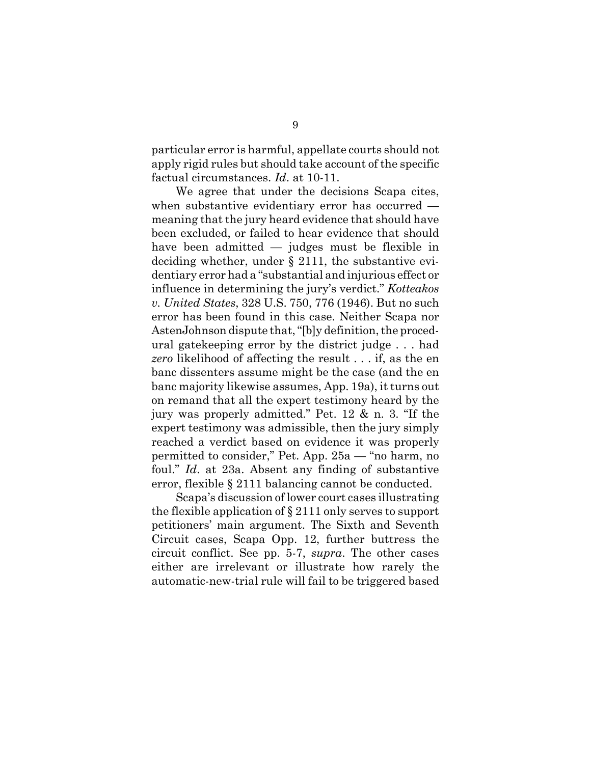particular error is harmful, appellate courts should not apply rigid rules but should take account of the specific factual circumstances. *Id*. at 10-11.

We agree that under the decisions Scapa cites, when substantive evidentiary error has occurred meaning that the jury heard evidence that should have been excluded, or failed to hear evidence that should have been admitted — judges must be flexible in deciding whether, under § 2111, the substantive evidentiary error had a "substantial and injurious effect or influence in determining the jury's verdict." *Kotteakos v. United States*, 328 U.S. 750, 776 (1946). But no such error has been found in this case. Neither Scapa nor AstenJohnson dispute that, "[b]y definition, the procedural gatekeeping error by the district judge . . . had *zero* likelihood of affecting the result . . . if, as the en banc dissenters assume might be the case (and the en banc majority likewise assumes, App. 19a), it turns out on remand that all the expert testimony heard by the jury was properly admitted." Pet. 12 & n. 3. "If the expert testimony was admissible, then the jury simply reached a verdict based on evidence it was properly permitted to consider," Pet. App. 25a — "no harm, no foul." *Id*. at 23a. Absent any finding of substantive error, flexible § 2111 balancing cannot be conducted.

Scapa's discussion of lower court cases illustrating the flexible application of § 2111 only serves to support petitioners' main argument. The Sixth and Seventh Circuit cases, Scapa Opp. 12, further buttress the circuit conflict. See pp. 5-7, *supra*. The other cases either are irrelevant or illustrate how rarely the automatic-new-trial rule will fail to be triggered based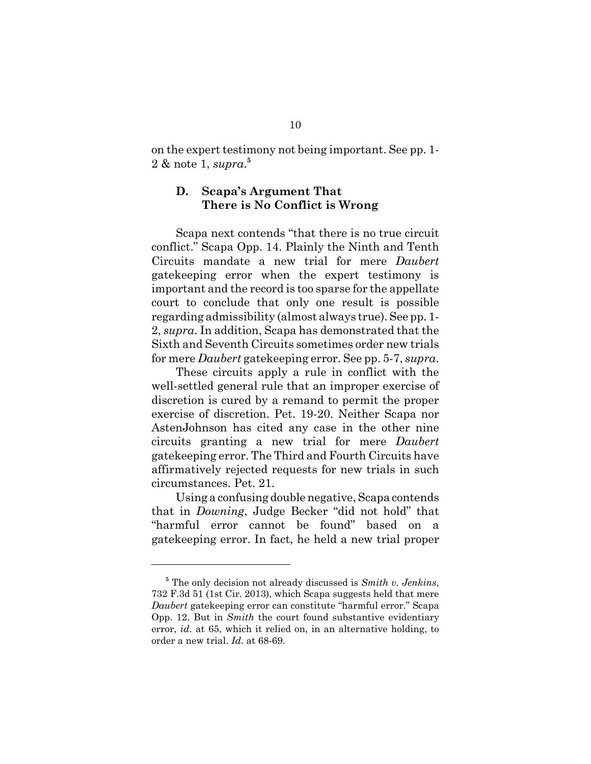on the expert testimony not being important. See pp. 1- 2 & note 1, *supra*. **5**

#### **D. Scapa's Argument That There is No Conflict is Wrong**

Scapa next contends "that there is no true circuit conflict." Scapa Opp. 14. Plainly the Ninth and Tenth Circuits mandate a new trial for mere *Daubert* gatekeeping error when the expert testimony is important and the record is too sparse for the appellate court to conclude that only one result is possible regarding admissibility (almost always true). See pp. 1- 2, *supra*. In addition, Scapa has demonstrated that the Sixth and Seventh Circuits sometimes order new trials for mere *Daubert* gatekeeping error. See pp. 5-7, *supra*.

These circuits apply a rule in conflict with the well-settled general rule that an improper exercise of discretion is cured by a remand to permit the proper exercise of discretion. Pet. 19-20. Neither Scapa nor AstenJohnson has cited any case in the other nine circuits granting a new trial for mere *Daubert* gatekeeping error. The Third and Fourth Circuits have affirmatively rejected requests for new trials in such circumstances. Pet. 21.

Using a confusing double negative, Scapa contends that in *Downing*, Judge Becker "did not hold" that "harmful error cannot be found" based on a gatekeeping error. In fact, he held a new trial proper

**<sup>5</sup>** The only decision not already discussed is *Smith v. Jenkins*, 732 F.3d 51 (1st Cir. 2013), which Scapa suggests held that mere *Daubert* gatekeeping error can constitute "harmful error." Scapa Opp. 12. But in *Smith* the court found substantive evidentiary error, *id*. at 65, which it relied on, in an alternative holding, to order a new trial. *Id*. at 68-69.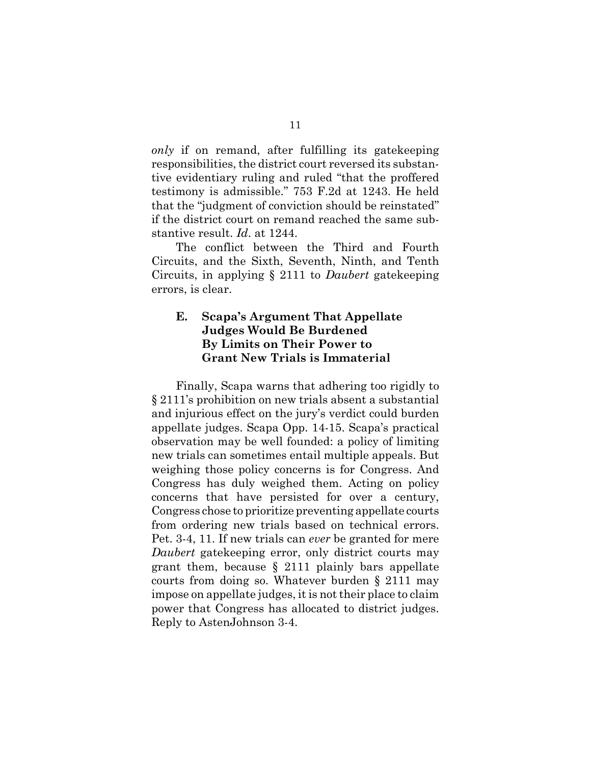*only* if on remand, after fulfilling its gatekeeping responsibilities, the district court reversed its substantive evidentiary ruling and ruled "that the proffered testimony is admissible." 753 F.2d at 1243. He held that the "judgment of conviction should be reinstated" if the district court on remand reached the same substantive result. *Id*. at 1244.

The conflict between the Third and Fourth Circuits, and the Sixth, Seventh, Ninth, and Tenth Circuits, in applying § 2111 to *Daubert* gatekeeping errors, is clear.

#### **E. Scapa's Argument That Appellate Judges Would Be Burdened By Limits on Their Power to Grant New Trials is Immaterial**

Finally, Scapa warns that adhering too rigidly to § 2111's prohibition on new trials absent a substantial and injurious effect on the jury's verdict could burden appellate judges. Scapa Opp. 14-15. Scapa's practical observation may be well founded: a policy of limiting new trials can sometimes entail multiple appeals. But weighing those policy concerns is for Congress. And Congress has duly weighed them. Acting on policy concerns that have persisted for over a century, Congress chose to prioritize preventing appellate courts from ordering new trials based on technical errors. Pet. 3-4, 11. If new trials can *ever* be granted for mere *Daubert* gatekeeping error, only district courts may grant them, because § 2111 plainly bars appellate courts from doing so. Whatever burden § 2111 may impose on appellate judges, it is not their place to claim power that Congress has allocated to district judges. Reply to AstenJohnson 3-4.